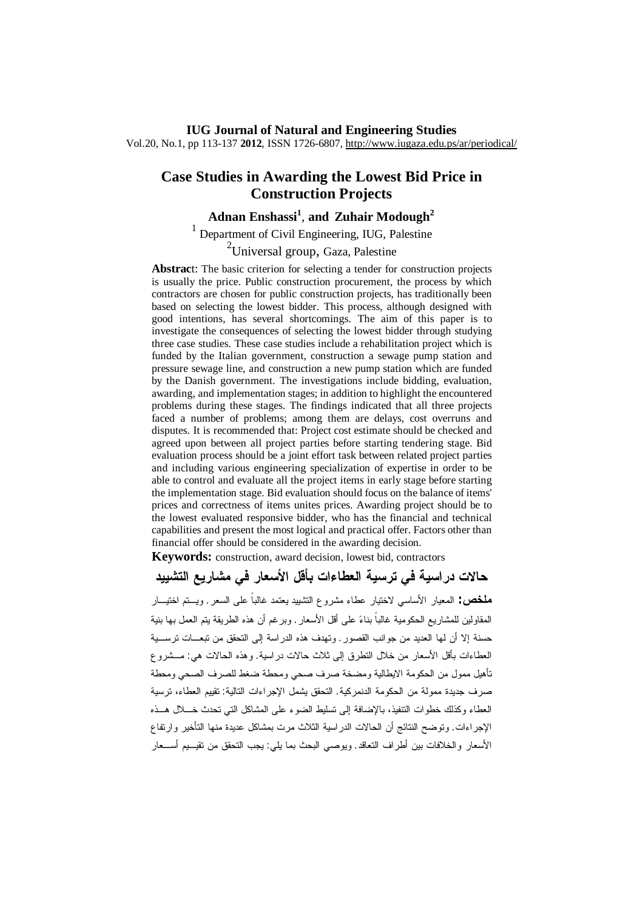#### **IUG Journal of Natural and Engineering Studies** Vol.20, No.1, pp 113-137 **2012**, ISSN 1726-6807, <http://www.iugaza.edu.ps/ar/periodical/>

# **Case Studies in Awarding the Lowest Bid Price in Construction Projects**

# **Adnan Enshassi<sup>1</sup>** , **and Zuhair Modough<sup>2</sup>**

<sup>1</sup> Department of Civil Engineering, IUG, Palestine  $2$ Universal group, Gaza, Palestine

**Abstrac**t: The basic criterion for selecting a tender for construction projects is usually the price. Public construction procurement, the process by which contractors are chosen for public construction projects, has traditionally been based on selecting the lowest bidder. This process, although designed with good intentions, has several shortcomings. The aim of this paper is to investigate the consequences of selecting the lowest bidder through studying three case studies. These case studies include a rehabilitation project which is funded by the Italian government, construction a sewage pump station and pressure sewage line, and construction a new pump station which are funded by the Danish government. The investigations include bidding, evaluation, awarding, and implementation stages; in addition to highlight the encountered problems during these stages. The findings indicated that all three projects faced a number of problems; among them are delays, cost overruns and disputes. It is recommended that: Project cost estimate should be checked and agreed upon between all project parties before starting tendering stage. Bid evaluation process should be a joint effort task between related project parties and including various engineering specialization of expertise in order to be able to control and evaluate all the project items in early stage before starting the implementation stage. Bid evaluation should focus on the balance of items' prices and correctness of items unites prices. Awarding project should be to the lowest evaluated responsive bidder*,* who has the financial and technical capabilities and present the most logical and practical offer. Factors other than financial offer should be considered in the awarding decision.

**Keywords:** construction, award decision, lowest bid, contractors

**حالات دراسية في ترسية العطاءات بأقل الأسعار في مشاريع التشييد ملخص:** المعيار الأساسي لاختيار عطاء مشروع التشييد يعتمد غالباً على السعر. ويـتم اختيـار المقاولين للمشاريع الحكومية غالباً بناء على أقل الأسعار. وبرغم أن هذه الطريقة يتم العمل بها بنية حسنة إلا أن لها العديد من جوانب القصور. وتهدف هذه الدراسة إلى التحقق من تبعـات ترسـية العطاءات بأقل الأسعار من خلال التطرق إلى ثلاث حالات دراسية. وهذه الحالات هي: مـشروع تأهيل ممول من الحكومة الايطالية ومضخة صرف صحي ومحطة ضغط للصرف الصحي ومحطة صرف جديدة ممولة من الحكومة الدنمركية. التحقق يشمل الإجراءات التالية: تقييم العطاء، ترسية العطاء وكذلك خطوات التنفيذ، بالإضافة إلى تسليط الضوء على المشاكل التي تحدث خـلال هـذه الإجراءات. وتوضح النتائج أن الحالات الدراسية الثلاث مرت بمشاكل عديدة منها التأخير وارتفاع الأسعار والخلافات بين أطراف التعاقد. ويوصي البحث بما يلي: يجب التحقق من تقيـيم أسـعار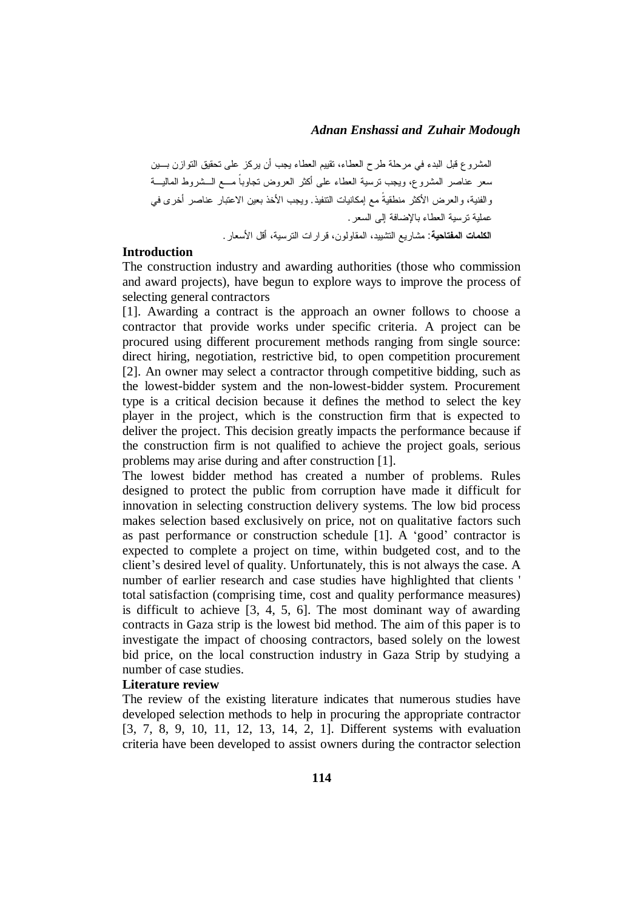المشروع قبل البدء في مرحلة طرح العطاء، تقييم العطاء يجب أن يركز على تحقيق التوازن بـين سعر عناصر المشروع، ويجب ترسية العطاء على أكثر العروض تجاوباً مـع الـشروط الماليـة والفنية، والعرض الأكثر منطقيةً مع إمكانيات التنفيذ. ويجب الأخذ بعين الاعتبار عناصر أخرى في عملية ترسية العطاء بالإضافة إلى السعر. **الكلمات المفتاحية**: مشاريع التشييد، المقاولون، قرارات الترسية، أقل الأسعار.

#### **Introduction**

The construction industry and awarding authorities (those who commission and award projects), have begun to explore ways to improve the process of selecting general contractors

[1]. Awarding a contract is the approach an owner follows to choose a contractor that provide works under specific criteria. A project can be procured using different procurement methods ranging from single source: direct hiring, negotiation, restrictive bid, to open competition procurement [2]. An owner may select a contractor through competitive bidding, such as the lowest-bidder system and the non-lowest-bidder system. Procurement type is a critical decision because it defines the method to select the key player in the project, which is the construction firm that is expected to deliver the project. This decision greatly impacts the performance because if the construction firm is not qualified to achieve the project goals, serious problems may arise during and after construction [1].

The lowest bidder method has created a number of problems. Rules designed to protect the public from corruption have made it difficult for innovation in selecting construction delivery systems. The low bid process makes selection based exclusively on price, not on qualitative factors such as past performance or construction schedule [1]. A 'good' contractor is expected to complete a project on time, within budgeted cost, and to the client's desired level of quality. Unfortunately, this is not always the case. A number of earlier research and case studies have highlighted that clients ' total satisfaction (comprising time, cost and quality performance measures) is difficult to achieve [3, 4, 5, 6]. The most dominant way of awarding contracts in Gaza strip is the lowest bid method. The aim of this paper is to investigate the impact of choosing contractors, based solely on the lowest bid price, on the local construction industry in Gaza Strip by studying a number of case studies.

#### **Literature review**

The review of the existing literature indicates that numerous studies have developed selection methods to help in procuring the appropriate contractor [3, 7, 8, 9, 10, 11, 12, 13, 14, 2, 1]. Different systems with evaluation criteria have been developed to assist owners during the contractor selection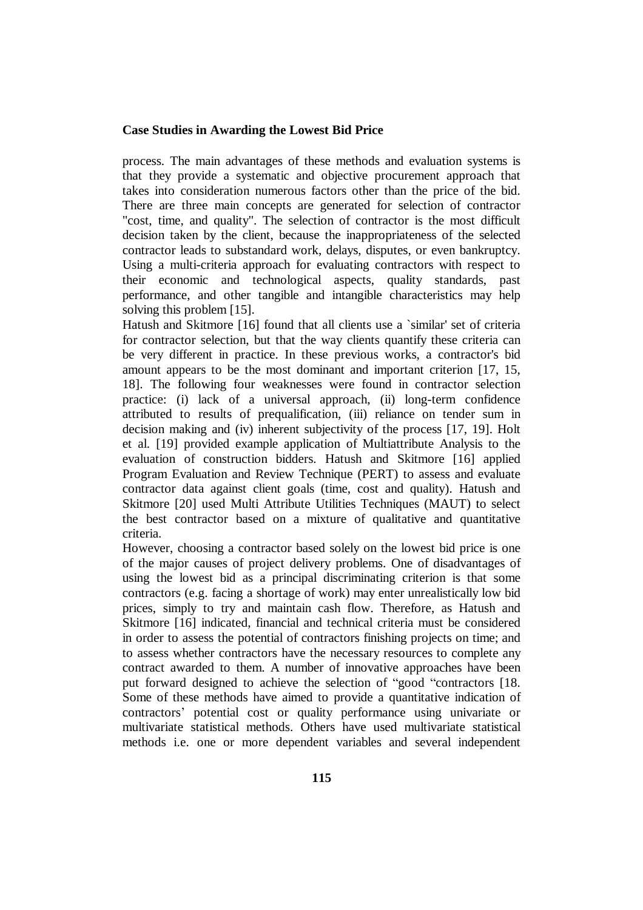process. The main advantages of these methods and evaluation systems is that they provide a systematic and objective procurement approach that takes into consideration numerous factors other than the price of the bid. There are three main concepts are generated for selection of contractor "cost, time, and quality". The selection of contractor is the most difficult decision taken by the client, because the inappropriateness of the selected contractor leads to substandard work, delays, disputes, or even bankruptcy. Using a multi-criteria approach for evaluating contractors with respect to their economic and technological aspects, quality standards, past performance, and other tangible and intangible characteristics may help solving this problem [15].

Hatush and Skitmore [16] found that all clients use a `similar' set of criteria for contractor selection, but that the way clients quantify these criteria can be very different in practice. In these previous works, a contractor's bid amount appears to be the most dominant and important criterion [17, 15, 18]. The following four weaknesses were found in contractor selection practice: (i) lack of a universal approach, (ii) long-term confidence attributed to results of prequalification, (iii) reliance on tender sum in decision making and (iv) inherent subjectivity of the process [17, 19]. Holt et al. [19] provided example application of Multiattribute Analysis to the evaluation of construction bidders. Hatush and Skitmore [16] applied Program Evaluation and Review Technique (PERT) to assess and evaluate contractor data against client goals (time, cost and quality). Hatush and Skitmore [20] used Multi Attribute Utilities Techniques (MAUT) to select the best contractor based on a mixture of qualitative and quantitative criteria.

However, choosing a contractor based solely on the lowest bid price is one of the major causes of project delivery problems. One of disadvantages of using the lowest bid as a principal discriminating criterion is that some contractors (e.g. facing a shortage of work) may enter unrealistically low bid prices, simply to try and maintain cash flow. Therefore, as Hatush and Skitmore [16] indicated, financial and technical criteria must be considered in order to assess the potential of contractors finishing projects on time; and to assess whether contractors have the necessary resources to complete any contract awarded to them. A number of innovative approaches have been put forward designed to achieve the selection of "good "contractors [18. Some of these methods have aimed to provide a quantitative indication of contractors' potential cost or quality performance using univariate or multivariate statistical methods. Others have used multivariate statistical methods i.e. one or more dependent variables and several independent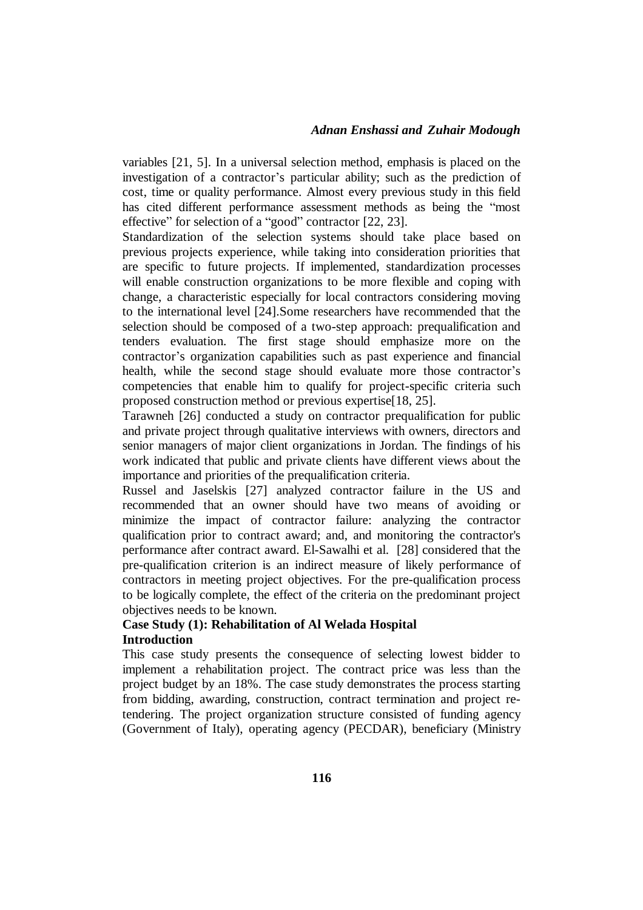variables [21, 5]. In a universal selection method, emphasis is placed on the investigation of a contractor's particular ability; such as the prediction of cost, time or quality performance. Almost every previous study in this field has cited different performance assessment methods as being the "most effective" for selection of a "good" contractor [22, 23].

Standardization of the selection systems should take place based on previous projects experience, while taking into consideration priorities that are specific to future projects. If implemented, standardization processes will enable construction organizations to be more flexible and coping with change, a characteristic especially for local contractors considering moving to the international level [24].Some researchers have recommended that the selection should be composed of a two-step approach: prequalification and tenders evaluation. The first stage should emphasize more on the contractor's organization capabilities such as past experience and financial health, while the second stage should evaluate more those contractor's competencies that enable him to qualify for project-specific criteria such proposed construction method or previous expertise[18, 25].

Tarawneh [26] conducted a study on contractor prequalification for public and private project through qualitative interviews with owners, directors and senior managers of major client organizations in Jordan. The findings of his work indicated that public and private clients have different views about the importance and priorities of the prequalification criteria.

Russel and Jaselskis [27] analyzed contractor failure in the US and recommended that an owner should have two means of avoiding or minimize the impact of contractor failure: analyzing the contractor qualification prior to contract award; and, and monitoring the contractor's performance after contract award. El-Sawalhi et al. [28] considered that the pre-qualification criterion is an indirect measure of likely performance of contractors in meeting project objectives. For the pre-qualification process to be logically complete, the effect of the criteria on the predominant project objectives needs to be known.

# **Case Study (1): Rehabilitation of Al Welada Hospital Introduction**

This case study presents the consequence of selecting lowest bidder to implement a rehabilitation project. The contract price was less than the project budget by an 18%. The case study demonstrates the process starting from bidding, awarding, construction, contract termination and project retendering. The project organization structure consisted of funding agency (Government of Italy), operating agency (PECDAR), beneficiary (Ministry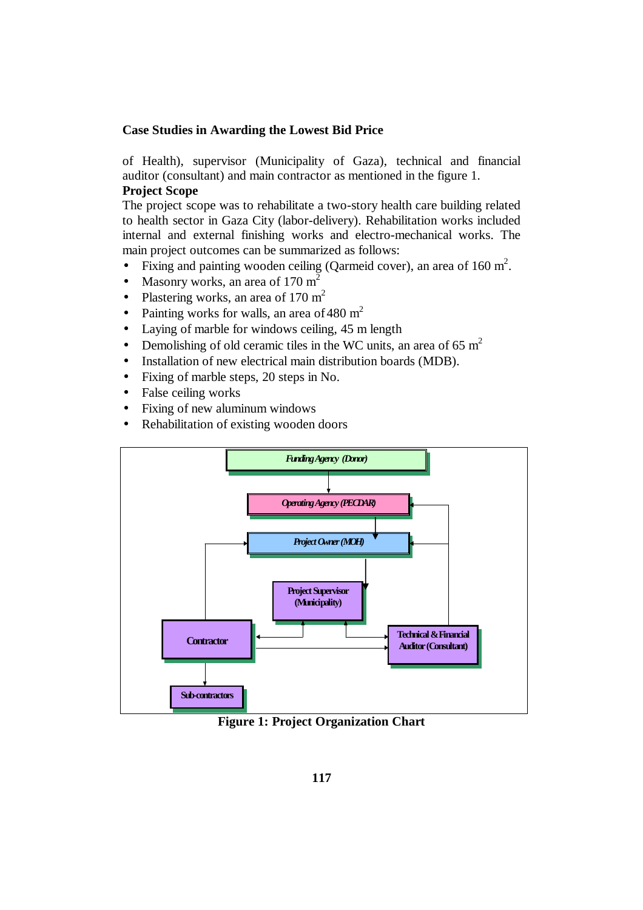of Health), supervisor (Municipality of Gaza), technical and financial auditor (consultant) and main contractor as mentioned in the figure 1.

# **Project Scope**

The project scope was to rehabilitate a two-story health care building related to health sector in Gaza City (labor-delivery). Rehabilitation works included internal and external finishing works and electro-mechanical works. The main project outcomes can be summarized as follows:

- Fixing and painting wooden ceiling (Qarmeid cover), an area of  $160 \text{ m}^2$ .
- Masonry works, an area of  $170 \text{ m}^2$
- Plastering works, an area of 170  $m<sup>2</sup>$
- Painting works for walls, an area of 480  $m<sup>2</sup>$
- Laying of marble for windows ceiling, 45 m length
- Demolishing of old ceramic tiles in the WC units, an area of 65  $m<sup>2</sup>$
- Installation of new electrical main distribution boards (MDB).
- Fixing of marble steps, 20 steps in No.
- False ceiling works
- Fixing of new aluminum windows
- Rehabilitation of existing wooden doors



**Figure 1: Project Organization Chart**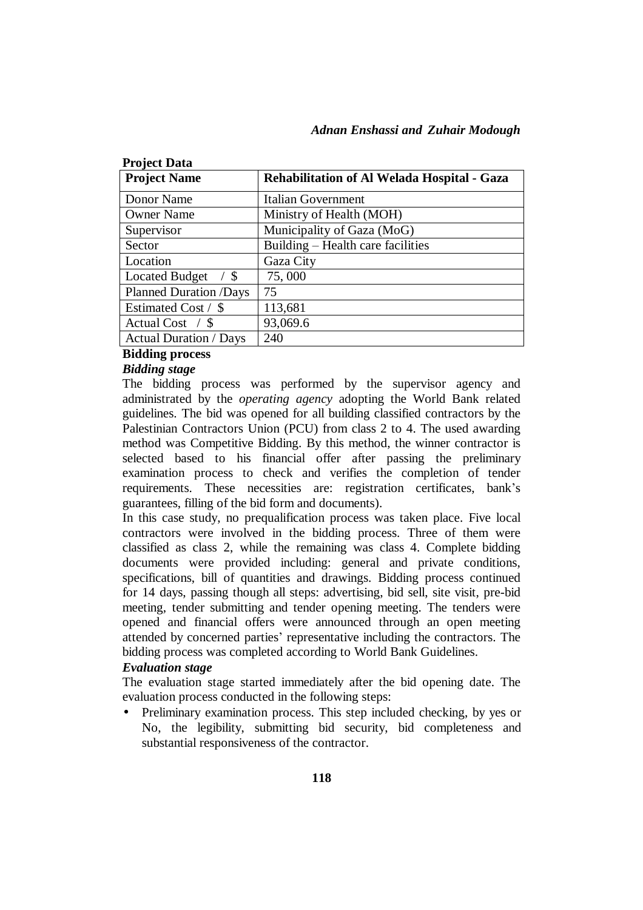| <b>Project Data</b>                    |                                             |  |  |
|----------------------------------------|---------------------------------------------|--|--|
| <b>Project Name</b>                    | Rehabilitation of Al Welada Hospital - Gaza |  |  |
| Donor Name                             | Italian Government                          |  |  |
| <b>Owner Name</b>                      | Ministry of Health (MOH)                    |  |  |
| Supervisor                             | Municipality of Gaza (MoG)                  |  |  |
| Sector                                 | Building – Health care facilities           |  |  |
| Location                               | Gaza City                                   |  |  |
| <b>Located Budget</b><br>$\frac{1}{5}$ | 75,000                                      |  |  |
| <b>Planned Duration /Days</b>          | 75                                          |  |  |
| Estimated Cost / \$                    | 113,681                                     |  |  |
| Actual Cost $\frac{\pi}{3}$            | 93,069.6                                    |  |  |
| <b>Actual Duration / Days</b>          | 240                                         |  |  |

## **Bidding process**

#### *Bidding stage*

The bidding process was performed by the supervisor agency and administrated by the *operating agency* adopting the World Bank related guidelines. The bid was opened for all building classified contractors by the Palestinian Contractors Union (PCU) from class 2 to 4. The used awarding method was Competitive Bidding. By this method, the winner contractor is selected based to his financial offer after passing the preliminary examination process to check and verifies the completion of tender requirements. These necessities are: registration certificates, bank's guarantees, filling of the bid form and documents).

In this case study, no prequalification process was taken place. Five local contractors were involved in the bidding process. Three of them were classified as class 2, while the remaining was class 4. Complete bidding documents were provided including: general and private conditions, specifications, bill of quantities and drawings. Bidding process continued for 14 days, passing though all steps: advertising, bid sell, site visit, pre-bid meeting, tender submitting and tender opening meeting. The tenders were opened and financial offers were announced through an open meeting attended by concerned parties' representative including the contractors. The bidding process was completed according to World Bank Guidelines.

## *Evaluation stage*

The evaluation stage started immediately after the bid opening date. The evaluation process conducted in the following steps:

• Preliminary examination process. This step included checking, by yes or No, the legibility, submitting bid security, bid completeness and substantial responsiveness of the contractor.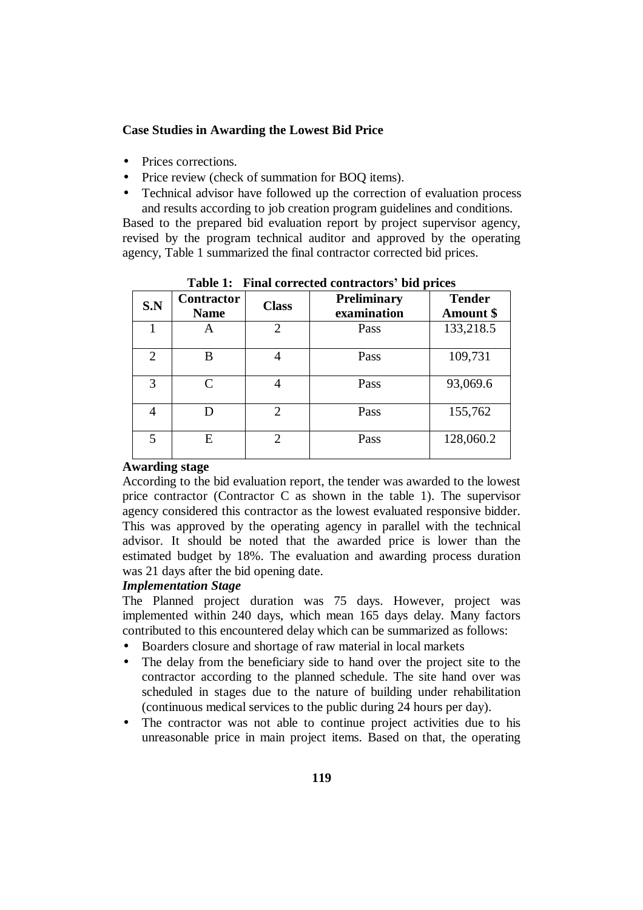- Prices corrections.
- Price review (check of summation for BOQ items).
- Technical advisor have followed up the correction of evaluation process and results according to job creation program guidelines and conditions.

Based to the prepared bid evaluation report by project supervisor agency, revised by the program technical auditor and approved by the operating agency, Table 1 summarized the final contractor corrected bid prices.

| S.N            | <b>Contractor</b><br><b>Name</b> | <b>Class</b>                | <b>Preliminary</b><br>examination | <b>Tender</b><br>Amount \$ |
|----------------|----------------------------------|-----------------------------|-----------------------------------|----------------------------|
| 1              | A                                | $\overline{2}$              | Pass                              | 133,218.5                  |
| $\overline{2}$ | B                                |                             | Pass                              | 109,731                    |
| 3              | C                                |                             | Pass                              | 93,069.6                   |
| 4              |                                  | $\overline{2}$              | Pass                              | 155,762                    |
| 5              | E                                | $\mathcal{D}_{\mathcal{L}}$ | Pass                              | 128,060.2                  |

**Table 1: Final corrected contractors' bid prices**

#### **Awarding stage**

According to the bid evaluation report, the tender was awarded to the lowest price contractor (Contractor C as shown in the table 1). The supervisor agency considered this contractor as the lowest evaluated responsive bidder. This was approved by the operating agency in parallel with the technical advisor. It should be noted that the awarded price is lower than the estimated budget by 18%. The evaluation and awarding process duration was 21 days after the bid opening date.

# *Implementation Stage*

The Planned project duration was 75 days. However, project was implemented within 240 days, which mean 165 days delay. Many factors contributed to this encountered delay which can be summarized as follows:

- Boarders closure and shortage of raw material in local markets
- The delay from the beneficiary side to hand over the project site to the contractor according to the planned schedule. The site hand over was scheduled in stages due to the nature of building under rehabilitation (continuous medical services to the public during 24 hours per day).
- The contractor was not able to continue project activities due to his unreasonable price in main project items. Based on that, the operating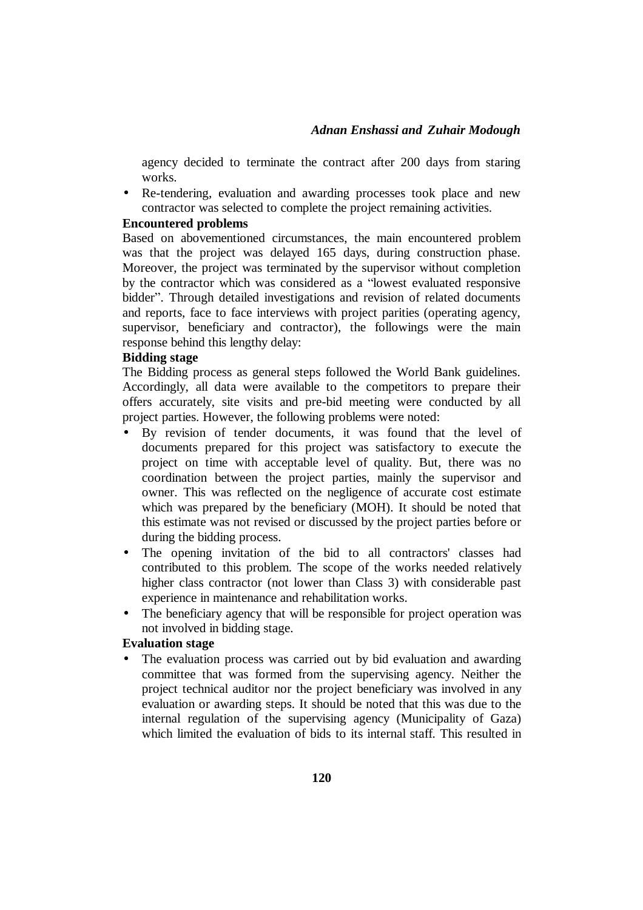agency decided to terminate the contract after 200 days from staring works.

• Re-tendering, evaluation and awarding processes took place and new contractor was selected to complete the project remaining activities.

#### **Encountered problems**

Based on abovementioned circumstances, the main encountered problem was that the project was delayed 165 days, during construction phase. Moreover, the project was terminated by the supervisor without completion by the contractor which was considered as a "lowest evaluated responsive bidder". Through detailed investigations and revision of related documents and reports, face to face interviews with project parities (operating agency, supervisor, beneficiary and contractor), the followings were the main response behind this lengthy delay:

# **Bidding stage**

The Bidding process as general steps followed the World Bank guidelines. Accordingly, all data were available to the competitors to prepare their offers accurately, site visits and pre-bid meeting were conducted by all project parties. However, the following problems were noted:

- By revision of tender documents, it was found that the level of documents prepared for this project was satisfactory to execute the project on time with acceptable level of quality. But, there was no coordination between the project parties, mainly the supervisor and owner. This was reflected on the negligence of accurate cost estimate which was prepared by the beneficiary (MOH). It should be noted that this estimate was not revised or discussed by the project parties before or during the bidding process.
- The opening invitation of the bid to all contractors' classes had contributed to this problem. The scope of the works needed relatively higher class contractor (not lower than Class 3) with considerable past experience in maintenance and rehabilitation works.
- The beneficiary agency that will be responsible for project operation was not involved in bidding stage.

#### **Evaluation stage**

• The evaluation process was carried out by bid evaluation and awarding committee that was formed from the supervising agency. Neither the project technical auditor nor the project beneficiary was involved in any evaluation or awarding steps. It should be noted that this was due to the internal regulation of the supervising agency (Municipality of Gaza) which limited the evaluation of bids to its internal staff. This resulted in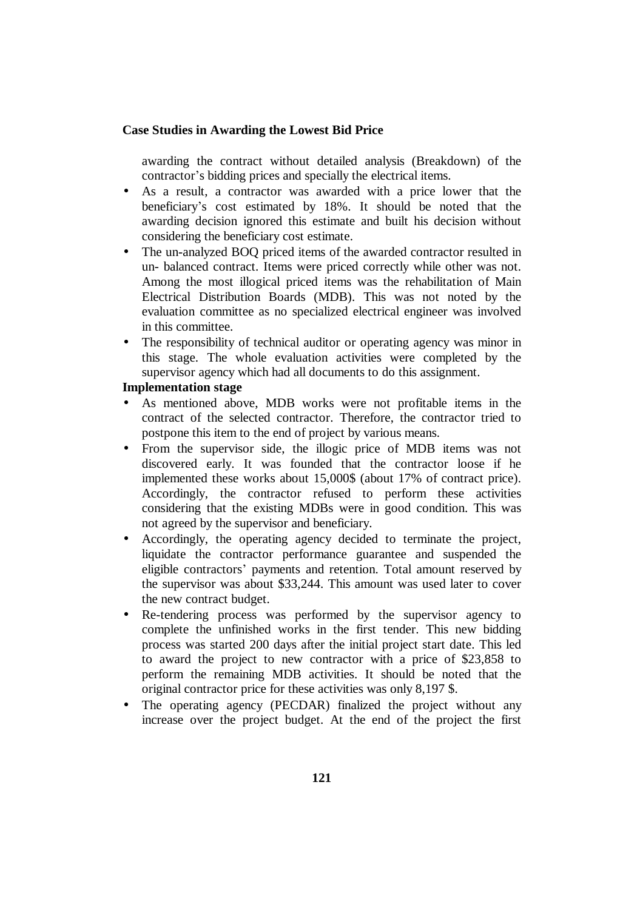awarding the contract without detailed analysis (Breakdown) of the contractor's bidding prices and specially the electrical items.

- As a result, a contractor was awarded with a price lower that the beneficiary's cost estimated by 18%. It should be noted that the awarding decision ignored this estimate and built his decision without considering the beneficiary cost estimate.
- The un-analyzed BOQ priced items of the awarded contractor resulted in un- balanced contract. Items were priced correctly while other was not. Among the most illogical priced items was the rehabilitation of Main Electrical Distribution Boards (MDB). This was not noted by the evaluation committee as no specialized electrical engineer was involved in this committee.
- The responsibility of technical auditor or operating agency was minor in this stage. The whole evaluation activities were completed by the supervisor agency which had all documents to do this assignment.

### **Implementation stage**

- As mentioned above, MDB works were not profitable items in the contract of the selected contractor. Therefore, the contractor tried to postpone this item to the end of project by various means.
- From the supervisor side, the illogic price of MDB items was not discovered early. It was founded that the contractor loose if he implemented these works about 15,000\$ (about 17% of contract price). Accordingly, the contractor refused to perform these activities considering that the existing MDBs were in good condition. This was not agreed by the supervisor and beneficiary.
- Accordingly, the operating agency decided to terminate the project, liquidate the contractor performance guarantee and suspended the eligible contractors' payments and retention. Total amount reserved by the supervisor was about \$33,244. This amount was used later to cover the new contract budget.
- Re-tendering process was performed by the supervisor agency to complete the unfinished works in the first tender. This new bidding process was started 200 days after the initial project start date. This led to award the project to new contractor with a price of \$23,858 to perform the remaining MDB activities. It should be noted that the original contractor price for these activities was only 8,197 \$.
- The operating agency (PECDAR) finalized the project without any increase over the project budget. At the end of the project the first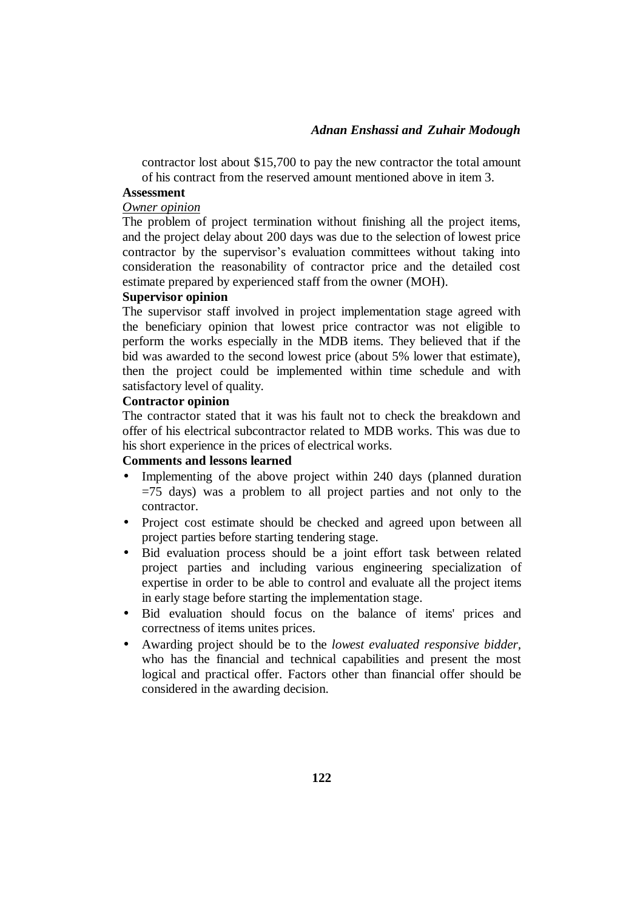contractor lost about \$15,700 to pay the new contractor the total amount of his contract from the reserved amount mentioned above in item 3.

#### **Assessment**

#### *Owner opinion*

The problem of project termination without finishing all the project items, and the project delay about 200 days was due to the selection of lowest price contractor by the supervisor's evaluation committees without taking into consideration the reasonability of contractor price and the detailed cost estimate prepared by experienced staff from the owner (MOH).

#### **Supervisor opinion**

The supervisor staff involved in project implementation stage agreed with the beneficiary opinion that lowest price contractor was not eligible to perform the works especially in the MDB items. They believed that if the bid was awarded to the second lowest price (about 5% lower that estimate), then the project could be implemented within time schedule and with satisfactory level of quality.

### **Contractor opinion**

The contractor stated that it was his fault not to check the breakdown and offer of his electrical subcontractor related to MDB works. This was due to his short experience in the prices of electrical works.

#### **Comments and lessons learned**

- Implementing of the above project within 240 days (planned duration  $=75$  days) was a problem to all project parties and not only to the contractor.
- Project cost estimate should be checked and agreed upon between all project parties before starting tendering stage.
- Bid evaluation process should be a joint effort task between related project parties and including various engineering specialization of expertise in order to be able to control and evaluate all the project items in early stage before starting the implementation stage.
- Bid evaluation should focus on the balance of items' prices and correctness of items unites prices.
- Awarding project should be to the *lowest evaluated responsive bidder,*  who has the financial and technical capabilities and present the most logical and practical offer. Factors other than financial offer should be considered in the awarding decision.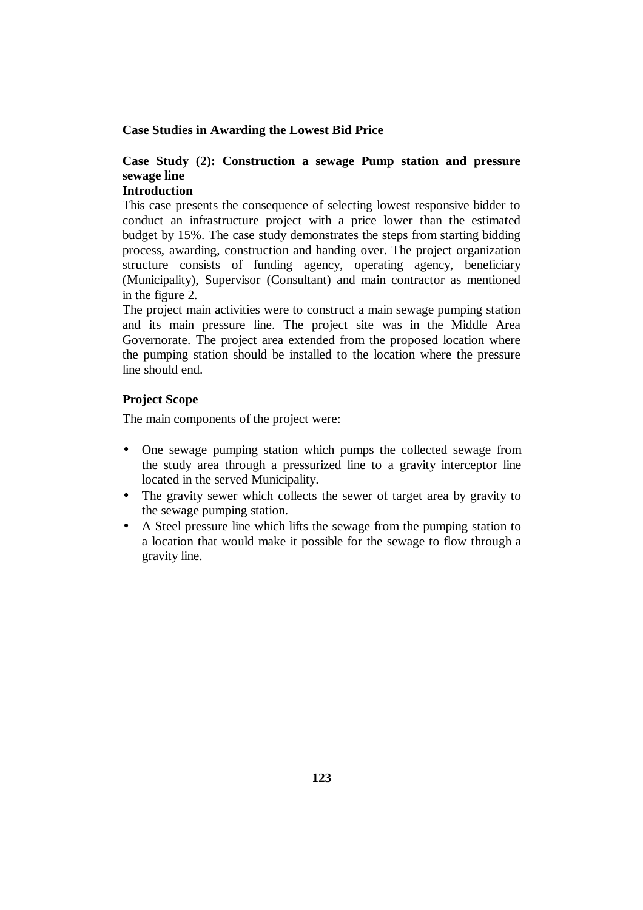# **Case Study (2): Construction a sewage Pump station and pressure sewage line**

# **Introduction**

This case presents the consequence of selecting lowest responsive bidder to conduct an infrastructure project with a price lower than the estimated budget by 15%. The case study demonstrates the steps from starting bidding process, awarding, construction and handing over. The project organization structure consists of funding agency, operating agency, beneficiary (Municipality), Supervisor (Consultant) and main contractor as mentioned in the figure 2.

The project main activities were to construct a main sewage pumping station and its main pressure line. The project site was in the Middle Area Governorate. The project area extended from the proposed location where the pumping station should be installed to the location where the pressure line should end.

## **Project Scope**

The main components of the project were:

- One sewage pumping station which pumps the collected sewage from the study area through a pressurized line to a gravity interceptor line located in the served Municipality.
- The gravity sewer which collects the sewer of target area by gravity to the sewage pumping station.
- A Steel pressure line which lifts the sewage from the pumping station to a location that would make it possible for the sewage to flow through a gravity line.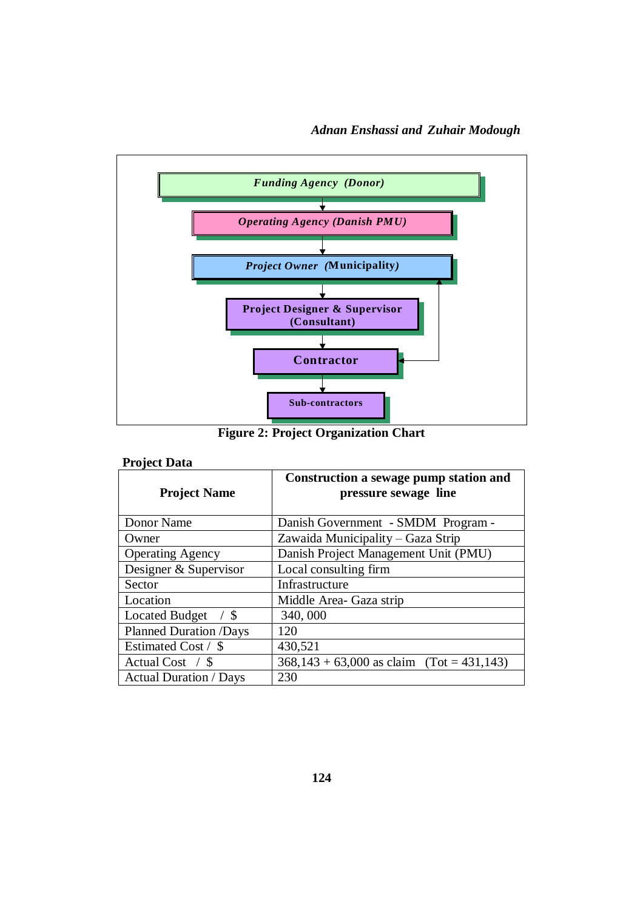

**Figure 2: Project Organization Chart** 

# **Project Data**

| <b>Project Name</b>                    | Construction a sewage pump station and<br>pressure sewage line |  |
|----------------------------------------|----------------------------------------------------------------|--|
| Donor Name                             | Danish Government - SMDM Program -                             |  |
| Owner                                  | Zawaida Municipality – Gaza Strip                              |  |
| <b>Operating Agency</b>                | Danish Project Management Unit (PMU)                           |  |
| Designer & Supervisor                  | Local consulting firm                                          |  |
| Sector                                 | Infrastructure                                                 |  |
| Location                               | Middle Area- Gaza strip                                        |  |
| <b>Located Budget</b><br>$\frac{1}{3}$ | 340,000                                                        |  |
| <b>Planned Duration /Days</b>          | 120                                                            |  |
| Estimated Cost / \$                    | 430,521                                                        |  |
| Actual Cost $\frac{\pi}{3}$            | $368,143 + 63,000$ as claim (Tot = 431,143)                    |  |
| <b>Actual Duration / Days</b>          | 230                                                            |  |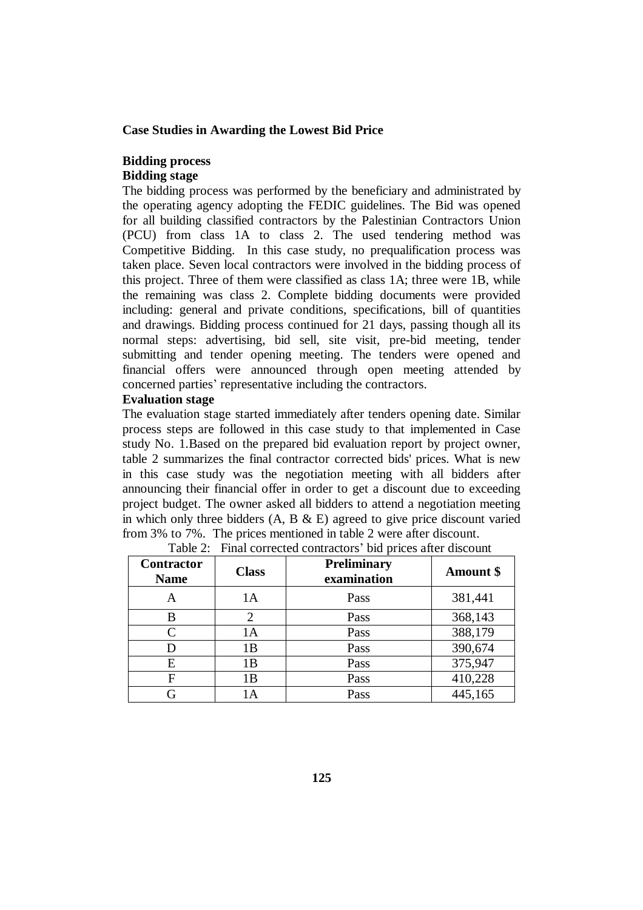#### **Bidding process Bidding stage**

The bidding process was performed by the beneficiary and administrated by the operating agency adopting the FEDIC guidelines. The Bid was opened for all building classified contractors by the Palestinian Contractors Union (PCU) from class 1A to class 2. The used tendering method was Competitive Bidding. In this case study, no prequalification process was taken place. Seven local contractors were involved in the bidding process of this project. Three of them were classified as class 1A; three were 1B, while the remaining was class 2. Complete bidding documents were provided including: general and private conditions, specifications, bill of quantities and drawings. Bidding process continued for 21 days, passing though all its normal steps: advertising, bid sell, site visit, pre-bid meeting, tender submitting and tender opening meeting. The tenders were opened and financial offers were announced through open meeting attended by concerned parties' representative including the contractors.

## **Evaluation stage**

The evaluation stage started immediately after tenders opening date. Similar process steps are followed in this case study to that implemented in Case study No. 1.Based on the prepared bid evaluation report by project owner, table 2 summarizes the final contractor corrected bids' prices. What is new in this case study was the negotiation meeting with all bidders after announcing their financial offer in order to get a discount due to exceeding project budget. The owner asked all bidders to attend a negotiation meeting in which only three bidders  $(A, B \& E)$  agreed to give price discount varied from 3% to 7%. The prices mentioned in table 2 were after discount.

| <b>Contractor</b><br><b>Name</b> | <b>Class</b> | Preliminary<br>examination | <b>Amount</b> \$ |
|----------------------------------|--------------|----------------------------|------------------|
| A                                | 1Α           | Pass                       | 381,441          |
| B                                |              | Pass                       | 368,143          |
|                                  | l A          | Pass                       | 388,179          |
|                                  | 1B           | Pass                       | 390,674          |
| Е                                | 1B           | Pass                       | 375,947          |
| F                                | 1B           | Pass                       | 410,228          |
|                                  |              | Pass                       | 445,165          |

|  | Table 2: Final corrected contractors' bid prices after discount |  |  |  |
|--|-----------------------------------------------------------------|--|--|--|
|--|-----------------------------------------------------------------|--|--|--|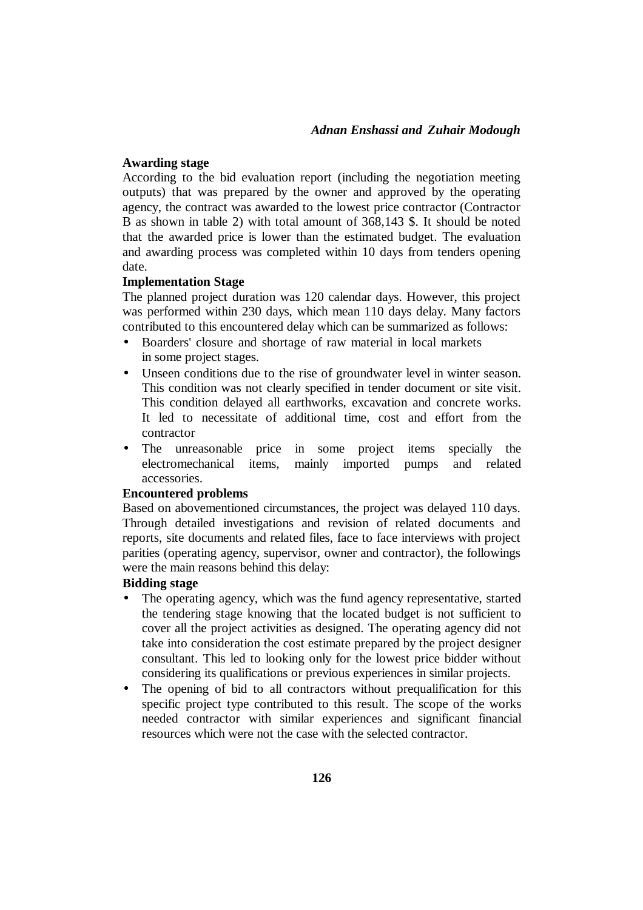#### **Awarding stage**

According to the bid evaluation report (including the negotiation meeting outputs) that was prepared by the owner and approved by the operating agency, the contract was awarded to the lowest price contractor (Contractor B as shown in table 2) with total amount of 368,143 \$. It should be noted that the awarded price is lower than the estimated budget. The evaluation and awarding process was completed within 10 days from tenders opening date.

#### **Implementation Stage**

The planned project duration was 120 calendar days. However, this project was performed within 230 days, which mean 110 days delay. Many factors contributed to this encountered delay which can be summarized as follows:

- Boarders' closure and shortage of raw material in local markets in some project stages.
- Unseen conditions due to the rise of groundwater level in winter season. This condition was not clearly specified in tender document or site visit. This condition delayed all earthworks, excavation and concrete works. It led to necessitate of additional time, cost and effort from the contractor
- The unreasonable price in some project items specially the electromechanical items, mainly imported pumps and related accessories.

#### **Encountered problems**

Based on abovementioned circumstances, the project was delayed 110 days. Through detailed investigations and revision of related documents and reports, site documents and related files, face to face interviews with project parities (operating agency, supervisor, owner and contractor), the followings were the main reasons behind this delay:

#### **Bidding stage**

- The operating agency, which was the fund agency representative, started the tendering stage knowing that the located budget is not sufficient to cover all the project activities as designed. The operating agency did not take into consideration the cost estimate prepared by the project designer consultant. This led to looking only for the lowest price bidder without considering its qualifications or previous experiences in similar projects.
- The opening of bid to all contractors without prequalification for this specific project type contributed to this result. The scope of the works needed contractor with similar experiences and significant financial resources which were not the case with the selected contractor.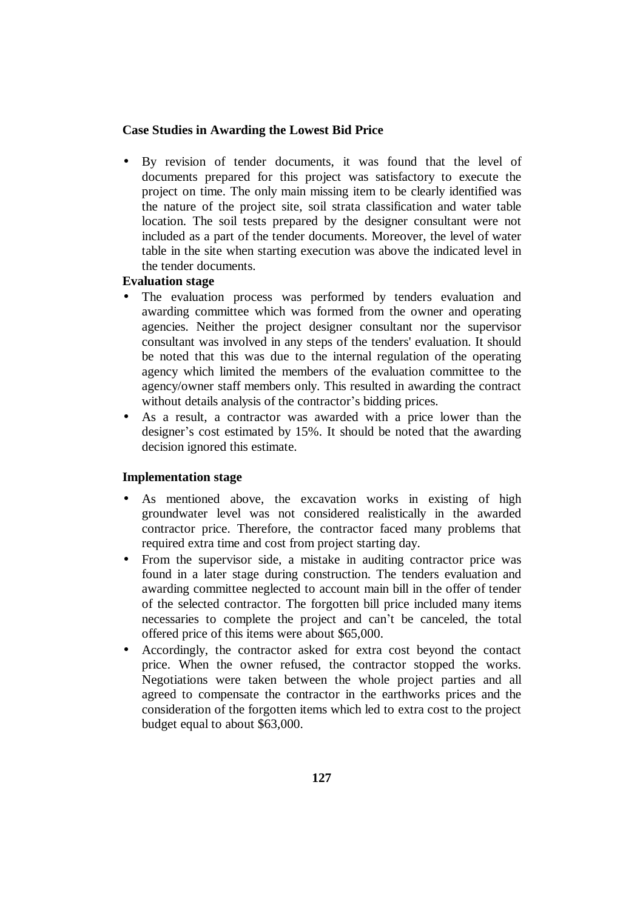• By revision of tender documents, it was found that the level of documents prepared for this project was satisfactory to execute the project on time. The only main missing item to be clearly identified was the nature of the project site, soil strata classification and water table location. The soil tests prepared by the designer consultant were not included as a part of the tender documents. Moreover, the level of water table in the site when starting execution was above the indicated level in the tender documents.

#### **Evaluation stage**

- The evaluation process was performed by tenders evaluation and awarding committee which was formed from the owner and operating agencies. Neither the project designer consultant nor the supervisor consultant was involved in any steps of the tenders' evaluation. It should be noted that this was due to the internal regulation of the operating agency which limited the members of the evaluation committee to the agency/owner staff members only. This resulted in awarding the contract without details analysis of the contractor's bidding prices.
- As a result, a contractor was awarded with a price lower than the designer's cost estimated by 15%. It should be noted that the awarding decision ignored this estimate.

## **Implementation stage**

- As mentioned above, the excavation works in existing of high groundwater level was not considered realistically in the awarded contractor price. Therefore, the contractor faced many problems that required extra time and cost from project starting day.
- From the supervisor side, a mistake in auditing contractor price was found in a later stage during construction. The tenders evaluation and awarding committee neglected to account main bill in the offer of tender of the selected contractor. The forgotten bill price included many items necessaries to complete the project and can't be canceled, the total offered price of this items were about \$65,000.
- Accordingly, the contractor asked for extra cost beyond the contact price. When the owner refused, the contractor stopped the works. Negotiations were taken between the whole project parties and all agreed to compensate the contractor in the earthworks prices and the consideration of the forgotten items which led to extra cost to the project budget equal to about \$63,000.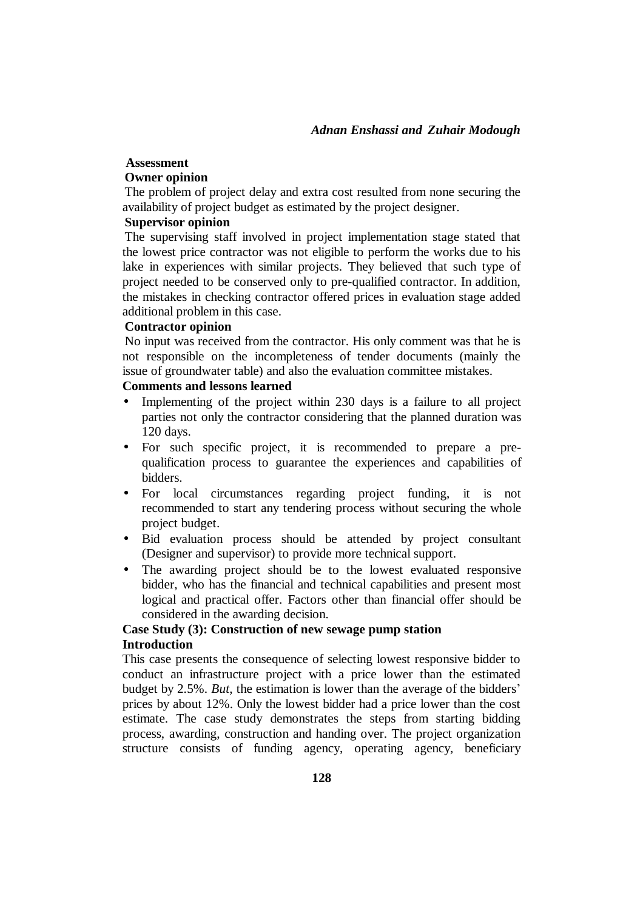# **Assessment**

# **Owner opinion**

The problem of project delay and extra cost resulted from none securing the availability of project budget as estimated by the project designer.

## **Supervisor opinion**

The supervising staff involved in project implementation stage stated that the lowest price contractor was not eligible to perform the works due to his lake in experiences with similar projects. They believed that such type of project needed to be conserved only to pre-qualified contractor. In addition, the mistakes in checking contractor offered prices in evaluation stage added additional problem in this case.

#### **Contractor opinion**

No input was received from the contractor. His only comment was that he is not responsible on the incompleteness of tender documents (mainly the issue of groundwater table) and also the evaluation committee mistakes.

# **Comments and lessons learned**

- Implementing of the project within 230 days is a failure to all project parties not only the contractor considering that the planned duration was 120 days.
- For such specific project, it is recommended to prepare a prequalification process to guarantee the experiences and capabilities of bidders.
- For local circumstances regarding project funding, it is not recommended to start any tendering process without securing the whole project budget.
- Bid evaluation process should be attended by project consultant (Designer and supervisor) to provide more technical support.
- The awarding project should be to the lowest evaluated responsive bidder, who has the financial and technical capabilities and present most logical and practical offer. Factors other than financial offer should be considered in the awarding decision.

# **Case Study (3): Construction of new sewage pump station Introduction**

This case presents the consequence of selecting lowest responsive bidder to conduct an infrastructure project with a price lower than the estimated budget by 2.5%. *But*, the estimation is lower than the average of the bidders' prices by about 12%. Only the lowest bidder had a price lower than the cost estimate. The case study demonstrates the steps from starting bidding process, awarding, construction and handing over. The project organization structure consists of funding agency, operating agency, beneficiary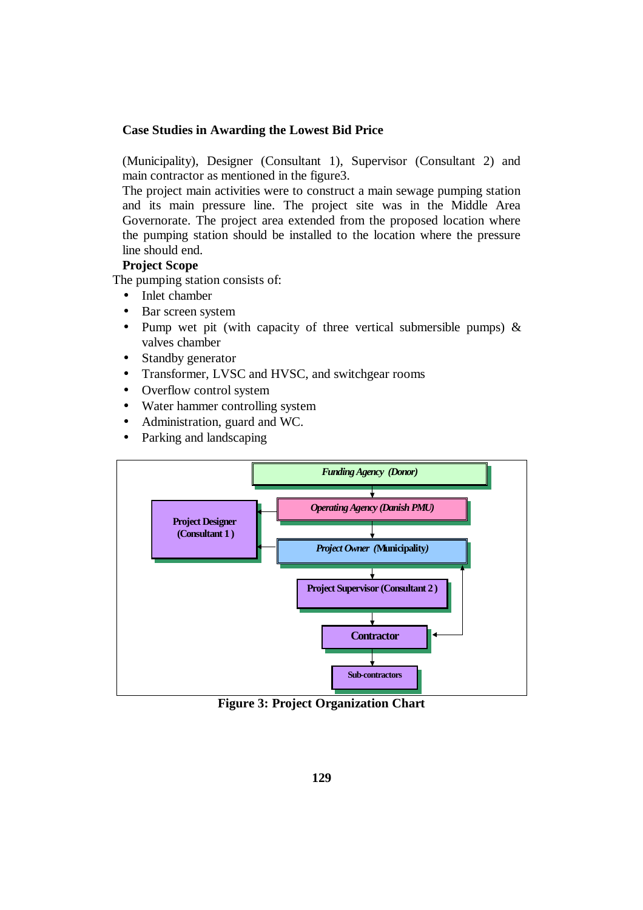(Municipality), Designer (Consultant 1), Supervisor (Consultant 2) and main contractor as mentioned in the figure3.

The project main activities were to construct a main sewage pumping station and its main pressure line. The project site was in the Middle Area Governorate. The project area extended from the proposed location where the pumping station should be installed to the location where the pressure line should end.

# **Project Scope**

The pumping station consists of:

- Inlet chamber
- Bar screen system
- Pump wet pit (with capacity of three vertical submersible pumps)  $\&$ valves chamber
- Standby generator
- Transformer, LVSC and HVSC, and switchgear rooms
- Overflow control system
- Water hammer controlling system
- Administration, guard and WC.
- Parking and landscaping



**Figure 3: Project Organization Chart**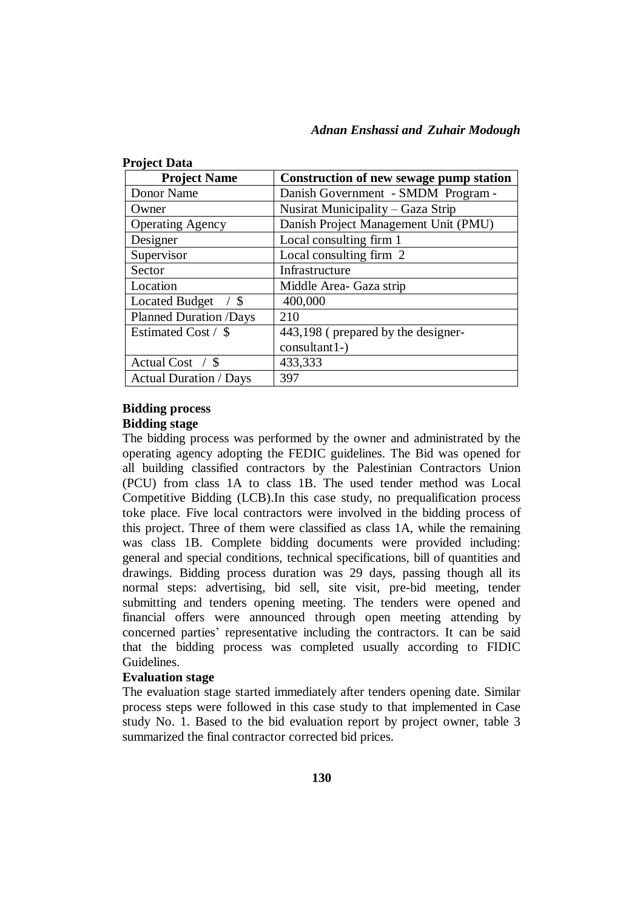| <b>Project Data</b>                    |                                         |
|----------------------------------------|-----------------------------------------|
| <b>Project Name</b>                    | Construction of new sewage pump station |
| Donor Name                             | Danish Government - SMDM Program -      |
| Owner                                  | Nusirat Municipality – Gaza Strip       |
| <b>Operating Agency</b>                | Danish Project Management Unit (PMU)    |
| Designer                               | Local consulting firm 1                 |
| Supervisor                             | Local consulting firm 2                 |
| Sector                                 | Infrastructure                          |
| Location                               | Middle Area- Gaza strip                 |
| <b>Located Budget</b><br>$\frac{1}{3}$ | 400,000                                 |
| <b>Planned Duration /Days</b>          | 210                                     |
| Estimated Cost / \$                    | 443,198 (prepared by the designer-      |
|                                        | consultant1-)                           |
| Actual Cost $\frac{\pi}{3}$            | 433,333                                 |
| <b>Actual Duration / Days</b>          | 397                                     |

# **Bidding process Bidding stage**

The bidding process was performed by the owner and administrated by the operating agency adopting the FEDIC guidelines. The Bid was opened for all building classified contractors by the Palestinian Contractors Union (PCU) from class 1A to class 1B. The used tender method was Local Competitive Bidding (LCB).In this case study, no prequalification process toke place. Five local contractors were involved in the bidding process of this project. Three of them were classified as class 1A, while the remaining was class 1B. Complete bidding documents were provided including: general and special conditions, technical specifications, bill of quantities and drawings. Bidding process duration was 29 days, passing though all its normal steps: advertising, bid sell, site visit, pre-bid meeting, tender submitting and tenders opening meeting. The tenders were opened and financial offers were announced through open meeting attending by concerned parties' representative including the contractors. It can be said that the bidding process was completed usually according to FIDIC Guidelines.

# **Evaluation stage**

The evaluation stage started immediately after tenders opening date. Similar process steps were followed in this case study to that implemented in Case study No. 1. Based to the bid evaluation report by project owner, table 3 summarized the final contractor corrected bid prices.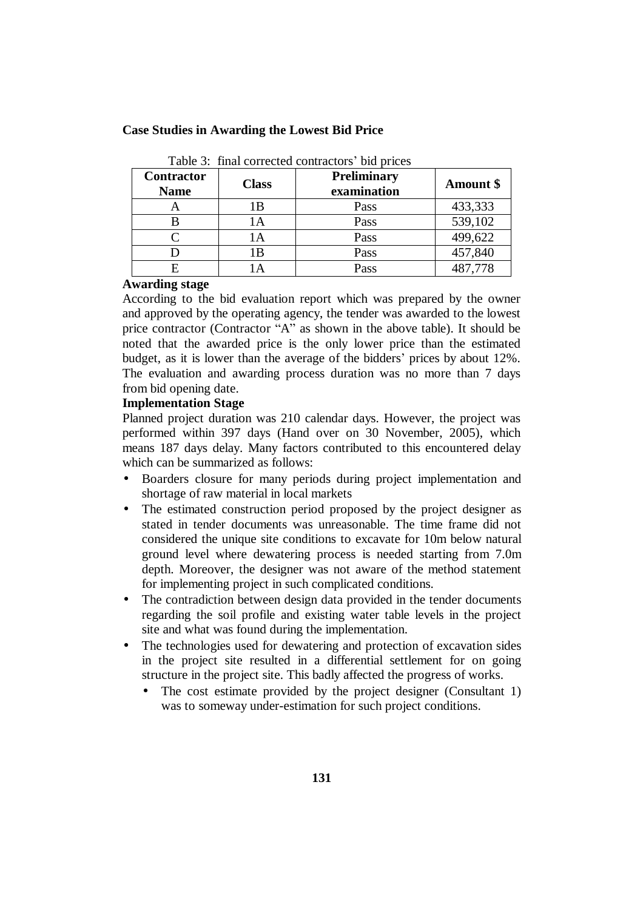| Table 3: final corrected contractors' bid prices |              |                                   |           |
|--------------------------------------------------|--------------|-----------------------------------|-----------|
| <b>Contractor</b><br><b>Name</b>                 | <b>Class</b> | <b>Preliminary</b><br>examination | Amount \$ |
| A                                                | 1Β           | Pass                              | 433,333   |
| B                                                | 1Α           | Pass                              | 539,102   |
|                                                  | 1 A          | Pass                              | 499,622   |
|                                                  | 1 B          | Pass                              | 457,840   |
|                                                  |              | Pass                              | 487,778   |

**Case Studies in Awarding the Lowest Bid Price**

#### **Awarding stage**

According to the bid evaluation report which was prepared by the owner and approved by the operating agency, the tender was awarded to the lowest price contractor (Contractor "A" as shown in the above table). It should be noted that the awarded price is the only lower price than the estimated budget, as it is lower than the average of the bidders' prices by about 12%. The evaluation and awarding process duration was no more than 7 days from bid opening date.

#### **Implementation Stage**

Planned project duration was 210 calendar days. However, the project was performed within 397 days (Hand over on 30 November, 2005), which means 187 days delay. Many factors contributed to this encountered delay which can be summarized as follows:

- Boarders closure for many periods during project implementation and shortage of raw material in local markets
- The estimated construction period proposed by the project designer as stated in tender documents was unreasonable. The time frame did not considered the unique site conditions to excavate for 10m below natural ground level where dewatering process is needed starting from 7.0m depth. Moreover, the designer was not aware of the method statement for implementing project in such complicated conditions.
- The contradiction between design data provided in the tender documents regarding the soil profile and existing water table levels in the project site and what was found during the implementation.
- The technologies used for dewatering and protection of excavation sides in the project site resulted in a differential settlement for on going structure in the project site. This badly affected the progress of works.
	- The cost estimate provided by the project designer (Consultant 1) was to someway under-estimation for such project conditions.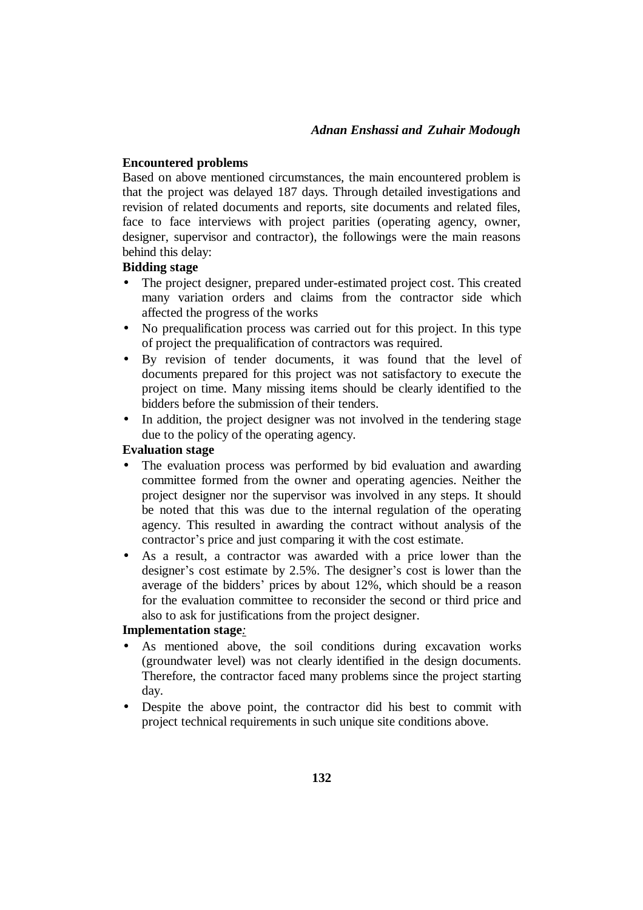#### **Encountered problems**

Based on above mentioned circumstances, the main encountered problem is that the project was delayed 187 days. Through detailed investigations and revision of related documents and reports, site documents and related files, face to face interviews with project parities (operating agency, owner, designer, supervisor and contractor), the followings were the main reasons behind this delay:

# **Bidding stage**

- The project designer, prepared under-estimated project cost. This created many variation orders and claims from the contractor side which affected the progress of the works
- No prequalification process was carried out for this project. In this type of project the prequalification of contractors was required.
- By revision of tender documents, it was found that the level of documents prepared for this project was not satisfactory to execute the project on time. Many missing items should be clearly identified to the bidders before the submission of their tenders.
- In addition, the project designer was not involved in the tendering stage due to the policy of the operating agency.

#### **Evaluation stage**

- The evaluation process was performed by bid evaluation and awarding committee formed from the owner and operating agencies. Neither the project designer nor the supervisor was involved in any steps. It should be noted that this was due to the internal regulation of the operating agency. This resulted in awarding the contract without analysis of the contractor's price and just comparing it with the cost estimate.
- As a result, a contractor was awarded with a price lower than the designer's cost estimate by 2.5%. The designer's cost is lower than the average of the bidders' prices by about 12%, which should be a reason for the evaluation committee to reconsider the second or third price and also to ask for justifications from the project designer.

#### **Implementation stage***:*

- As mentioned above, the soil conditions during excavation works (groundwater level) was not clearly identified in the design documents. Therefore, the contractor faced many problems since the project starting day.
- Despite the above point, the contractor did his best to commit with project technical requirements in such unique site conditions above.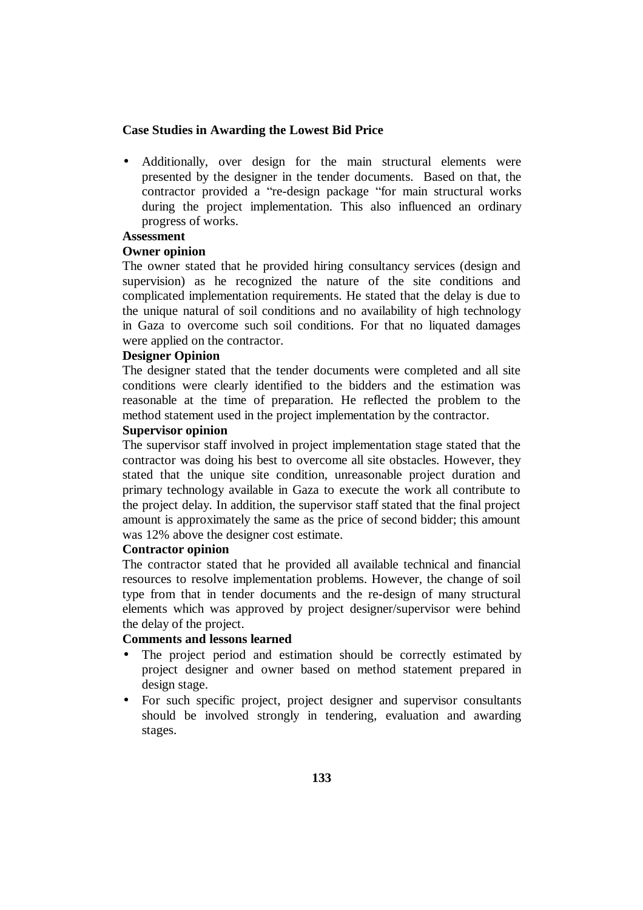• Additionally, over design for the main structural elements were presented by the designer in the tender documents. Based on that, the contractor provided a "re-design package "for main structural works during the project implementation. This also influenced an ordinary progress of works.

# **Assessment**

## **Owner opinion**

The owner stated that he provided hiring consultancy services (design and supervision) as he recognized the nature of the site conditions and complicated implementation requirements. He stated that the delay is due to the unique natural of soil conditions and no availability of high technology in Gaza to overcome such soil conditions. For that no liquated damages were applied on the contractor.

## **Designer Opinion**

The designer stated that the tender documents were completed and all site conditions were clearly identified to the bidders and the estimation was reasonable at the time of preparation. He reflected the problem to the method statement used in the project implementation by the contractor.

## **Supervisor opinion**

The supervisor staff involved in project implementation stage stated that the contractor was doing his best to overcome all site obstacles. However, they stated that the unique site condition, unreasonable project duration and primary technology available in Gaza to execute the work all contribute to the project delay. In addition, the supervisor staff stated that the final project amount is approximately the same as the price of second bidder; this amount was 12% above the designer cost estimate.

## **Contractor opinion**

The contractor stated that he provided all available technical and financial resources to resolve implementation problems. However, the change of soil type from that in tender documents and the re-design of many structural elements which was approved by project designer/supervisor were behind the delay of the project.

# **Comments and lessons learned**

- The project period and estimation should be correctly estimated by project designer and owner based on method statement prepared in design stage.
- For such specific project, project designer and supervisor consultants should be involved strongly in tendering, evaluation and awarding stages.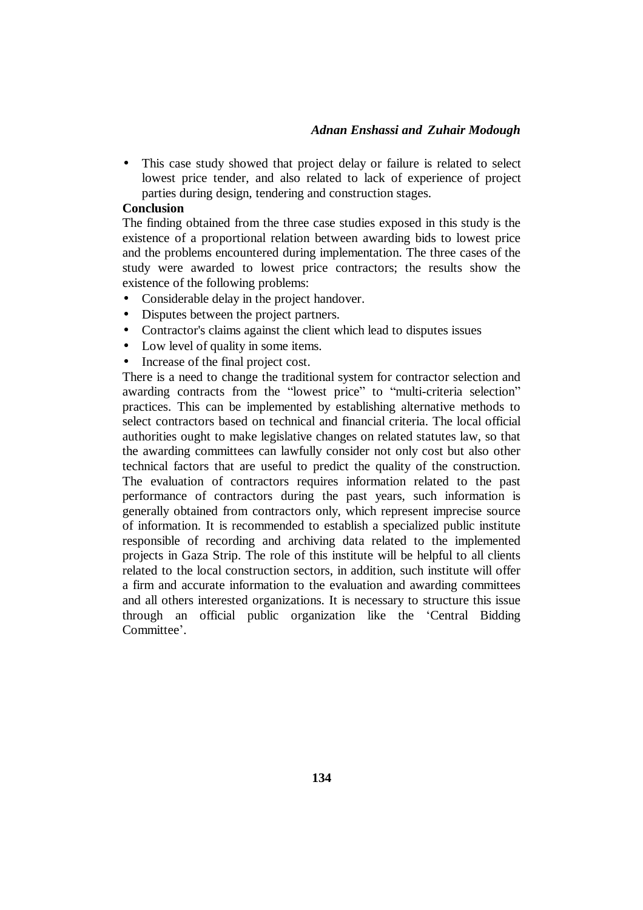• This case study showed that project delay or failure is related to select lowest price tender, and also related to lack of experience of project parties during design, tendering and construction stages.

#### **Conclusion**

The finding obtained from the three case studies exposed in this study is the existence of a proportional relation between awarding bids to lowest price and the problems encountered during implementation. The three cases of the study were awarded to lowest price contractors; the results show the existence of the following problems:

- Considerable delay in the project handover.
- Disputes between the project partners.
- Contractor's claims against the client which lead to disputes issues
- Low level of quality in some items.
- Increase of the final project cost.

There is a need to change the traditional system for contractor selection and awarding contracts from the "lowest price" to "multi-criteria selection" practices. This can be implemented by establishing alternative methods to select contractors based on technical and financial criteria. The local official authorities ought to make legislative changes on related statutes law, so that the awarding committees can lawfully consider not only cost but also other technical factors that are useful to predict the quality of the construction. The evaluation of contractors requires information related to the past performance of contractors during the past years, such information is generally obtained from contractors only, which represent imprecise source of information. It is recommended to establish a specialized public institute responsible of recording and archiving data related to the implemented projects in Gaza Strip. The role of this institute will be helpful to all clients related to the local construction sectors, in addition, such institute will offer a firm and accurate information to the evaluation and awarding committees and all others interested organizations. It is necessary to structure this issue through an official public organization like the 'Central Bidding Committee'.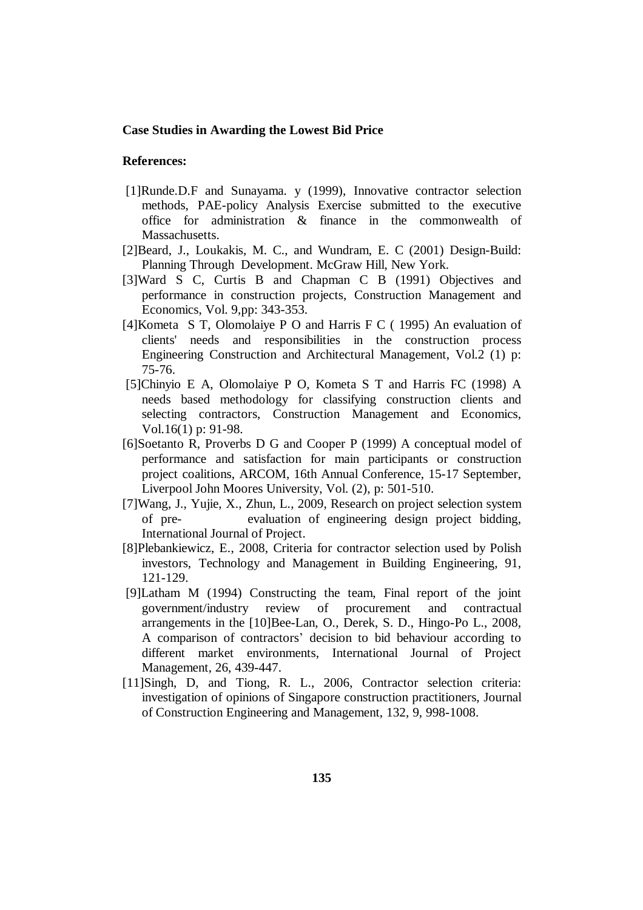#### **References:**

- [1]Runde.D.F and Sunayama. y (1999), Innovative contractor selection methods, PAE-policy Analysis Exercise submitted to the executive office for administration & finance in the commonwealth of Massachusetts.
- [2]Beard, J., Loukakis, M. C., and Wundram, E. C (2001) Design-Build: Planning Through Development. McGraw Hill, New York.
- [3]Ward S C, Curtis B and Chapman C B (1991) Objectives and performance in construction projects, Construction Management and Economics, Vol. 9,pp: 343-353.
- [4]Kometa S T, Olomolaiye P O and Harris F C ( 1995) An evaluation of clients' needs and responsibilities in the construction process Engineering Construction and Architectural Management, Vol.2 (1) p: 75-76.
- [5]Chinyio E A, Olomolaiye P O, Kometa S T and Harris FC (1998) A needs based methodology for classifying construction clients and selecting contractors, Construction Management and Economics, Vol.16(1) p: 91-98.
- [6]Soetanto R, Proverbs D G and Cooper P (1999) A conceptual model of performance and satisfaction for main participants or construction project coalitions, ARCOM, 16th Annual Conference, 15-17 September, Liverpool John Moores University, Vol. (2), p: 501-510.
- [7]Wang, J., Yujie, X., Zhun, L., 2009, Research on project selection system of pre- evaluation of engineering design project bidding, International Journal of Project.
- [8]Plebankiewicz, E., 2008, Criteria for contractor selection used by Polish investors, Technology and Management in Building Engineering, 91, 121-129.
- [9]Latham M (1994) Constructing the team, Final report of the joint government/industry review of procurement and contractual arrangements in the [10]Bee-Lan, O., Derek, S. D., Hingo-Po L., 2008, A comparison of contractors' decision to bid behaviour according to different market environments, International Journal of Project Management, 26, 439-447.
- [11]Singh, D, and Tiong, R. L., 2006, Contractor selection criteria: investigation of opinions of Singapore construction practitioners, Journal of Construction Engineering and Management, 132, 9, 998-1008.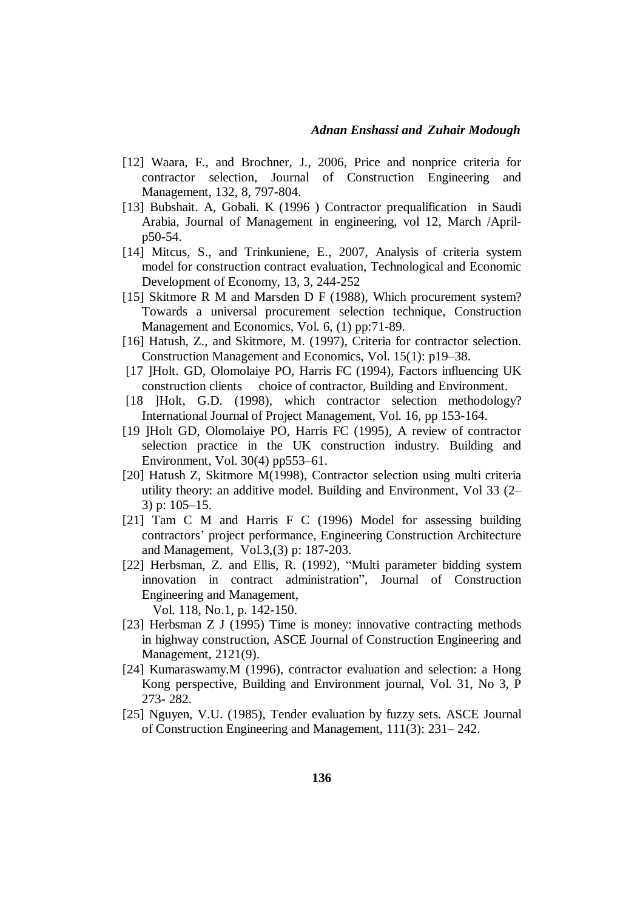- [12] Waara, F., and Brochner, J., 2006, Price and nonprice criteria for contractor selection, Journal of Construction Engineering and Management, 132, 8, 797-804.
- [13] Bubshait. A, Gobali. K (1996 ) Contractor prequalification in Saudi Arabia, Journal of Management in engineering, vol 12, March /Aprilp50-54.
- [14] Mitcus, S., and Trinkuniene, E., 2007, Analysis of criteria system model for construction contract evaluation, Technological and Economic Development of Economy, 13, 3, 244-252
- [15] Skitmore R M and Marsden D F (1988), Which procurement system? Towards a universal procurement selection technique, Construction Management and Economics, Vol. 6, (1) pp:71-89.
- [16] Hatush, Z., and Skitmore, M. (1997), Criteria for contractor selection. Construction Management and Economics, Vol. 15(1): p19–38.
- [17 ]Holt. GD, Olomolaiye PO, Harris FC (1994), Factors influencing UK construction clients choice of contractor, Building and Environment.
- [18 ]Holt, G.D. (1998), which contractor selection methodology? International Journal of Project Management, Vol. 16, pp 153-164.
- [19 ]Holt GD, Olomolaiye PO, Harris FC (1995), A review of contractor selection practice in the UK construction industry. Building and Environment, Vol. 30(4) pp553–61.
- [20] Hatush Z, Skitmore M(1998), Contractor selection using multi criteria utility theory: an additive model. Building and Environment, Vol 33 (2– 3) p: 105–15.
- [21] Tam C M and Harris F C (1996) Model for assessing building contractors' project performance, Engineering Construction Architecture and Management, Vol.3,(3) p: 187-203.
- [22] Herbsman, Z. and Ellis, R. (1992), "Multi parameter bidding system innovation in contract administration", Journal of Construction Engineering and Management,
	- Vol. 118, No.1, p. 142-150.
- [23] Herbsman Z J (1995) Time is money: innovative contracting methods in highway construction, ASCE Journal of Construction Engineering and Management, 2121(9).
- [24] Kumaraswamy.M (1996), contractor evaluation and selection: a Hong Kong perspective, Building and Environment journal, Vol. 31, No 3, P 273- 282.
- [25] Nguyen, V.U. (1985), Tender evaluation by fuzzy sets. ASCE Journal of Construction Engineering and Management, 111(3): 231– 242.